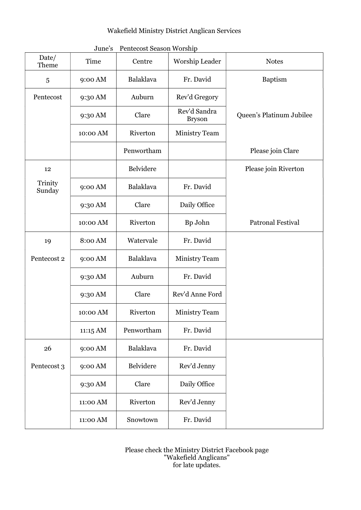## Wakefield Ministry District Anglican Services

June's Pentecost Season Worship

| Date/<br>Theme    | Time     | Centre           | Worship Leader                | <b>Notes</b>             |
|-------------------|----------|------------------|-------------------------------|--------------------------|
| 5                 | 9:00 AM  | Balaklava        | Fr. David                     | <b>Baptism</b>           |
| Pentecost         | 9:30 AM  | Auburn           | Rev'd Gregory                 |                          |
|                   | 9:30 AM  | Clare            | Rev'd Sandra<br><b>Bryson</b> | Queen's Platinum Jubilee |
|                   | 10:00 AM | Riverton         | <b>Ministry Team</b>          |                          |
|                   |          | Penwortham       |                               | Please join Clare        |
| 12                |          | Belvidere        |                               | Please join Riverton     |
| Trinity<br>Sunday | 9:00 AM  | <b>Balaklava</b> | Fr. David                     |                          |
|                   | 9:30 AM  | Clare            | Daily Office                  |                          |
|                   | 10:00 AM | Riverton         | Bp John                       | <b>Patronal Festival</b> |
| 19                | 8:00 AM  | Watervale        | Fr. David                     |                          |
| Pentecost 2       | 9:00 AM  | Balaklava        | <b>Ministry Team</b>          |                          |
|                   | 9:30 AM  | Auburn           | Fr. David                     |                          |
|                   | 9:30 AM  | Clare            | Rev'd Anne Ford               |                          |
|                   | 10:00 AM | Riverton         | <b>Ministry Team</b>          |                          |
|                   | 11:15 AM | Penwortham       | Fr. David                     |                          |
| 26                | 9:00 AM  | <b>Balaklava</b> | Fr. David                     |                          |
| Pentecost 3       | 9:00 AM  | Belvidere        | Rev'd Jenny                   |                          |
|                   | 9:30 AM  | Clare            | Daily Office                  |                          |
|                   | 11:00 AM | Riverton         | Rev'd Jenny                   |                          |
|                   | 11:00 AM | Snowtown         | Fr. David                     |                          |

Please check the Ministry District Facebook page "Wakefield Anglicans" for late updates.